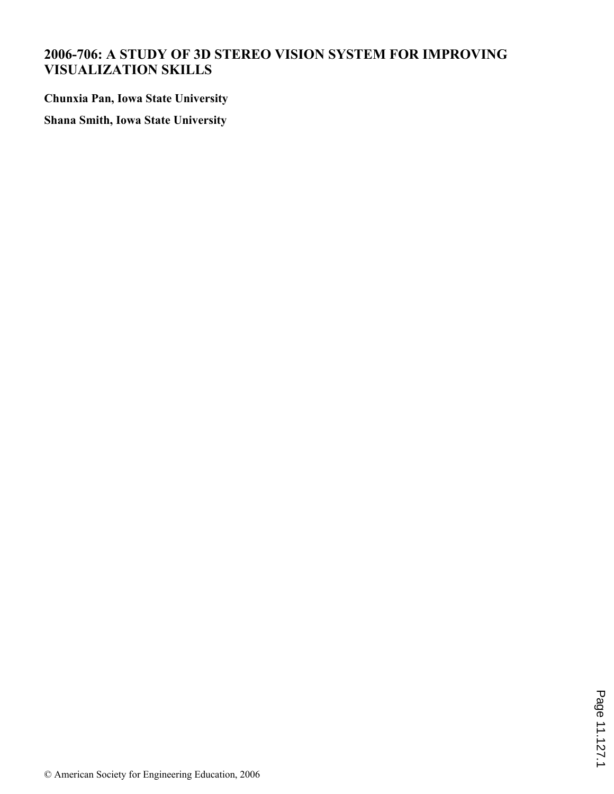# **2006-706: A STUDY OF 3D STEREO VISION SYSTEM FOR IMPROVING VISUALIZATION SKILLS**

**Chunxia Pan, Iowa State University**

**Shana Smith, Iowa State University**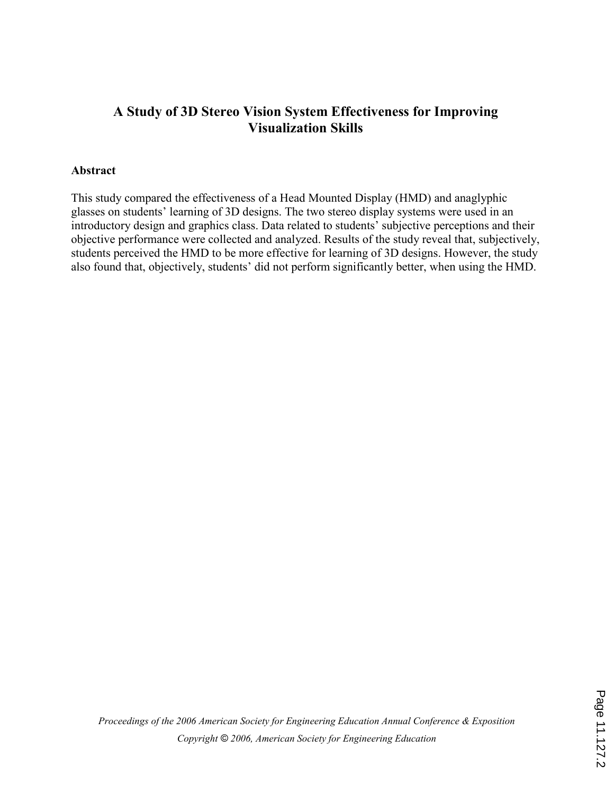# A Study of 3D Stereo Vision System Effectiveness for Improving Visualization Skills

### Abstract

This study compared the effectiveness of a Head Mounted Display (HMD) and anaglyphic glasses on students' learning of 3D designs. The two stereo display systems were used in an introductory design and graphics class. Data related to students' subjective perceptions and their objective performance were collected and analyzed. Results of the study reveal that, subjectively, students perceived the HMD to be more effective for learning of 3D designs. However, the study also found that, objectively, students' did not perform significantly better, when using the HMD.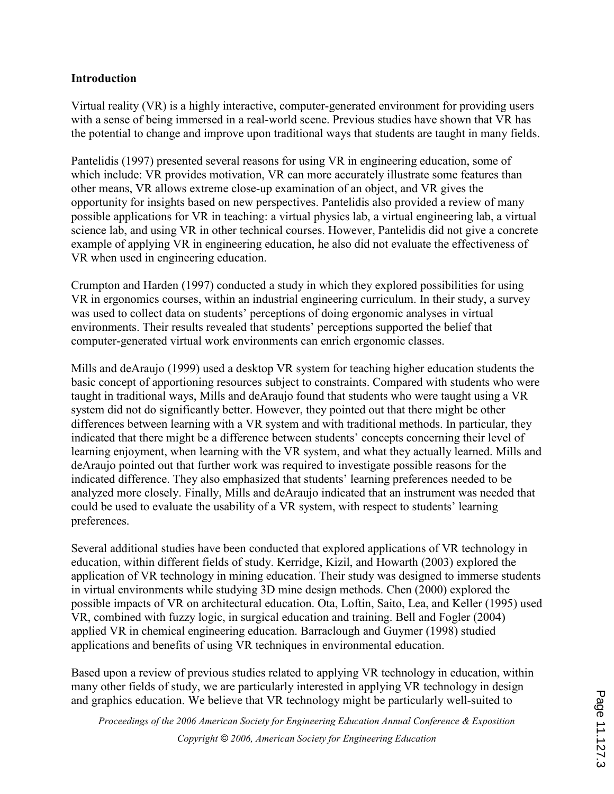### **Introduction**

Virtual reality (VR) is a highly interactive, computer-generated environment for providing users with a sense of being immersed in a real-world scene. Previous studies have shown that VR has the potential to change and improve upon traditional ways that students are taught in many fields.

Pantelidis (1997) presented several reasons for using VR in engineering education, some of which include: VR provides motivation, VR can more accurately illustrate some features than other means, VR allows extreme close-up examination of an object, and VR gives the opportunity for insights based on new perspectives. Pantelidis also provided a review of many possible applications for VR in teaching: a virtual physics lab, a virtual engineering lab, a virtual science lab, and using VR in other technical courses. However, Pantelidis did not give a concrete example of applying VR in engineering education, he also did not evaluate the effectiveness of VR when used in engineering education.

Crumpton and Harden (1997) conducted a study in which they explored possibilities for using VR in ergonomics courses, within an industrial engineering curriculum. In their study, a survey was used to collect data on students' perceptions of doing ergonomic analyses in virtual environments. Their results revealed that students' perceptions supported the belief that computer-generated virtual work environments can enrich ergonomic classes.

Mills and deAraujo (1999) used a desktop VR system for teaching higher education students the basic concept of apportioning resources subject to constraints. Compared with students who were taught in traditional ways, Mills and deAraujo found that students who were taught using a VR system did not do significantly better. However, they pointed out that there might be other differences between learning with a VR system and with traditional methods. In particular, they indicated that there might be a difference between students' concepts concerning their level of learning enjoyment, when learning with the VR system, and what they actually learned. Mills and deAraujo pointed out that further work was required to investigate possible reasons for the indicated difference. They also emphasized that students' learning preferences needed to be analyzed more closely. Finally, Mills and deAraujo indicated that an instrument was needed that could be used to evaluate the usability of a VR system, with respect to students' learning preferences.

Several additional studies have been conducted that explored applications of VR technology in education, within different fields of study. Kerridge, Kizil, and Howarth (2003) explored the application of VR technology in mining education. Their study was designed to immerse students in virtual environments while studying 3D mine design methods. Chen (2000) explored the possible impacts of VR on architectural education. Ota, Loftin, Saito, Lea, and Keller (1995) used VR, combined with fuzzy logic, in surgical education and training. Bell and Fogler (2004) applied VR in chemical engineering education. Barraclough and Guymer (1998) studied applications and benefits of using VR techniques in environmental education.

Based upon a review of previous studies related to applying VR technology in education, within many other fields of study, we are particularly interested in applying VR technology in design and graphics education. We believe that VR technology might be particularly well-suited to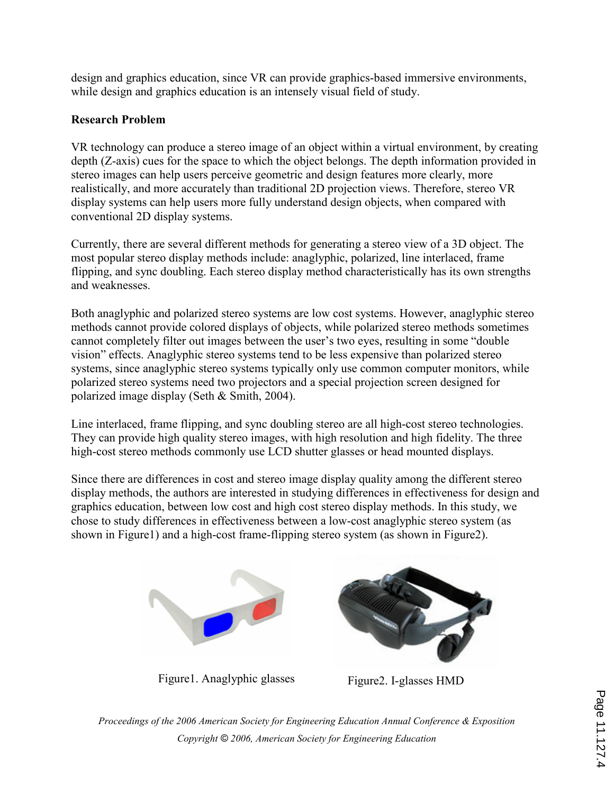design and graphics education, since VR can provide graphics-based immersive environments, while design and graphics education is an intensely visual field of study.

## Research Problem

VR technology can produce a stereo image of an object within a virtual environment, by creating depth (Z-axis) cues for the space to which the object belongs. The depth information provided in stereo images can help users perceive geometric and design features more clearly, more realistically, and more accurately than traditional 2D projection views. Therefore, stereo VR display systems can help users more fully understand design objects, when compared with conventional 2D display systems.

Currently, there are several different methods for generating a stereo view of a 3D object. The most popular stereo display methods include: anaglyphic, polarized, line interlaced, frame flipping, and sync doubling. Each stereo display method characteristically has its own strengths and weaknesses.

Both anaglyphic and polarized stereo systems are low cost systems. However, anaglyphic stereo methods cannot provide colored displays of objects, while polarized stereo methods sometimes cannot completely filter out images between the user's two eyes, resulting in some "double vision" effects. Anaglyphic stereo systems tend to be less expensive than polarized stereo systems, since anaglyphic stereo systems typically only use common computer monitors, while polarized stereo systems need two projectors and a special projection screen designed for polarized image display (Seth & Smith, 2004).

Line interlaced, frame flipping, and sync doubling stereo are all high-cost stereo technologies. They can provide high quality stereo images, with high resolution and high fidelity. The three high-cost stereo methods commonly use LCD shutter glasses or head mounted displays.

Since there are differences in cost and stereo image display quality among the different stereo display methods, the authors are interested in studying differences in effectiveness for design and graphics education, between low cost and high cost stereo display methods. In this study, we chose to study differences in effectiveness between a low-cost anaglyphic stereo system (as shown in Figure1) and a high-cost frame-flipping stereo system (as shown in Figure2).



Figure1. Anaglyphic glasses Figure2. I-glasses HMD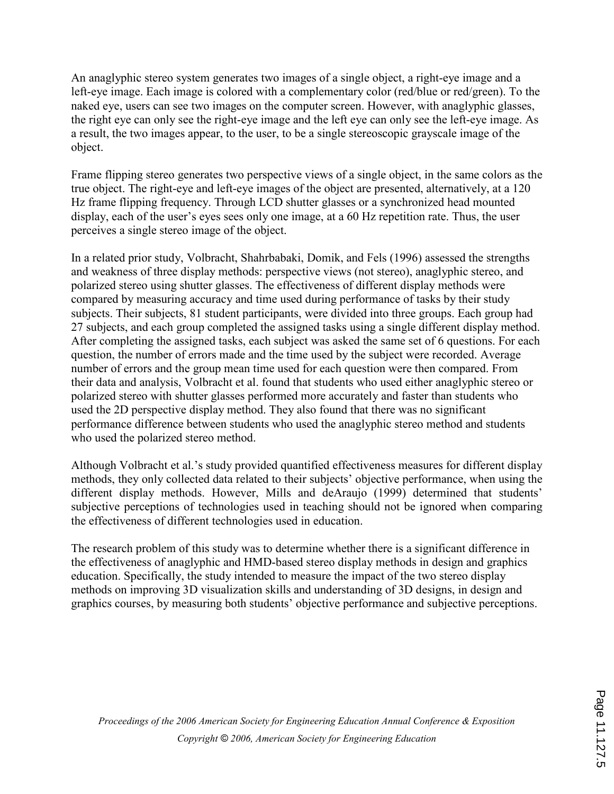An anaglyphic stereo system generates two images of a single object, a right-eye image and a left-eye image. Each image is colored with a complementary color (red/blue or red/green). To the naked eye, users can see two images on the computer screen. However, with anaglyphic glasses, the right eye can only see the right-eye image and the left eye can only see the left-eye image. As a result, the two images appear, to the user, to be a single stereoscopic grayscale image of the object.

Frame flipping stereo generates two perspective views of a single object, in the same colors as the true object. The right-eye and left-eye images of the object are presented, alternatively, at a 120 Hz frame flipping frequency. Through LCD shutter glasses or a synchronized head mounted display, each of the user's eyes sees only one image, at a 60 Hz repetition rate. Thus, the user perceives a single stereo image of the object.

In a related prior study, Volbracht, Shahrbabaki, Domik, and Fels (1996) assessed the strengths and weakness of three display methods: perspective views (not stereo), anaglyphic stereo, and polarized stereo using shutter glasses. The effectiveness of different display methods were compared by measuring accuracy and time used during performance of tasks by their study subjects. Their subjects, 81 student participants, were divided into three groups. Each group had 27 subjects, and each group completed the assigned tasks using a single different display method. After completing the assigned tasks, each subject was asked the same set of 6 questions. For each question, the number of errors made and the time used by the subject were recorded. Average number of errors and the group mean time used for each question were then compared. From their data and analysis, Volbracht et al. found that students who used either anaglyphic stereo or polarized stereo with shutter glasses performed more accurately and faster than students who used the 2D perspective display method. They also found that there was no significant performance difference between students who used the anaglyphic stereo method and students who used the polarized stereo method.

Although Volbracht et al.'s study provided quantified effectiveness measures for different display methods, they only collected data related to their subjects' objective performance, when using the different display methods. However, Mills and deAraujo (1999) determined that students' subjective perceptions of technologies used in teaching should not be ignored when comparing the effectiveness of different technologies used in education.

The research problem of this study was to determine whether there is a significant difference in the effectiveness of anaglyphic and HMD-based stereo display methods in design and graphics education. Specifically, the study intended to measure the impact of the two stereo display methods on improving 3D visualization skills and understanding of 3D designs, in design and graphics courses, by measuring both students' objective performance and subjective perceptions.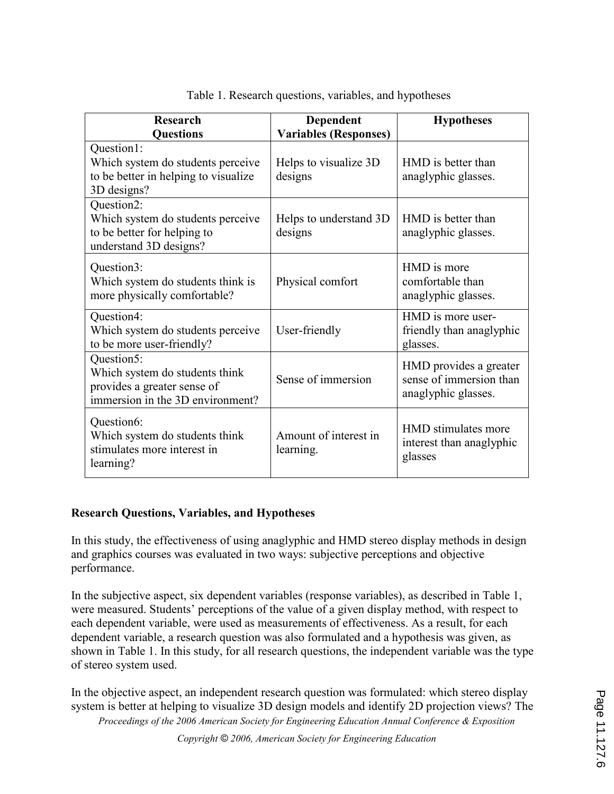| <b>Research</b>                                                                                                 | Dependent                          | <b>Hypotheses</b>                                                        |
|-----------------------------------------------------------------------------------------------------------------|------------------------------------|--------------------------------------------------------------------------|
| <b>Questions</b>                                                                                                | <b>Variables (Responses)</b>       |                                                                          |
| Question1:<br>Which system do students perceive<br>to be better in helping to visualize<br>3D designs?          | Helps to visualize 3D<br>designs   | HMD is better than<br>anaglyphic glasses.                                |
| Question2:<br>Which system do students perceive<br>to be better for helping to<br>understand 3D designs?        | Helps to understand 3D<br>designs  | HMD is better than<br>anaglyphic glasses.                                |
| Question3:<br>Which system do students think is<br>more physically comfortable?                                 | Physical comfort                   | HMD is more<br>comfortable than<br>anaglyphic glasses.                   |
| Question4:<br>Which system do students perceive<br>to be more user-friendly?                                    | User-friendly                      | HMD is more user-<br>friendly than anaglyphic<br>glasses.                |
| Question5:<br>Which system do students think<br>provides a greater sense of<br>immersion in the 3D environment? | Sense of immersion                 | HMD provides a greater<br>sense of immersion than<br>anaglyphic glasses. |
| Question6:<br>Which system do students think<br>stimulates more interest in<br>learning?                        | Amount of interest in<br>learning. | HMD stimulates more<br>interest than anaglyphic<br>glasses               |

Table 1. Research questions, variables, and hypotheses

### Research Questions, Variables, and Hypotheses

In this study, the effectiveness of using anaglyphic and HMD stereo display methods in design and graphics courses was evaluated in two ways: subjective perceptions and objective performance.

In the subjective aspect, six dependent variables (response variables), as described in Table 1, were measured. Students' perceptions of the value of a given display method, with respect to each dependent variable, were used as measurements of effectiveness. As a result, for each dependent variable, a research question was also formulated and a hypothesis was given, as shown in Table 1. In this study, for all research questions, the independent variable was the type of stereo system used.

In the objective aspect, an independent research question was formulated: which stereo display system is better at helping to visualize 3D design models and identify 2D projection views? The

Proceedings of the 2006 American Society for Engineering Education Annual Conference & Exposition

Copyright © 2006, American Society for Engineering Education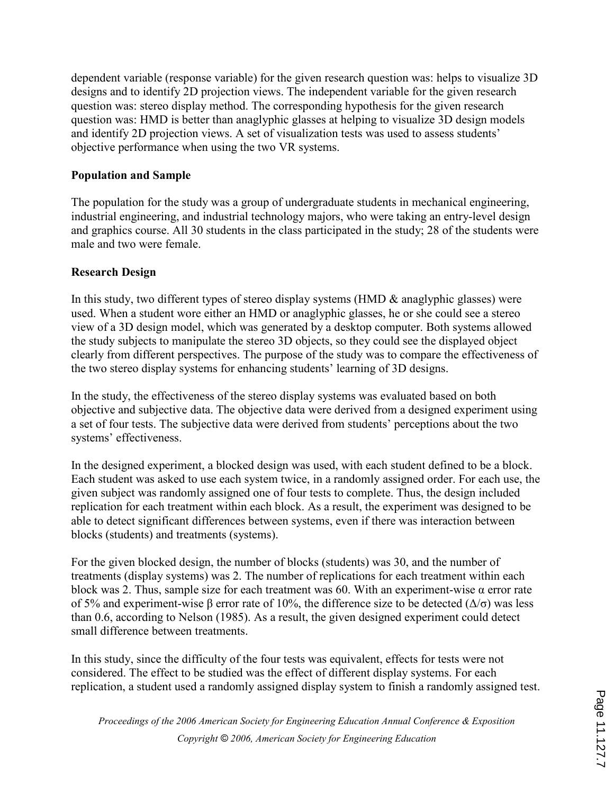dependent variable (response variable) for the given research question was: helps to visualize 3D designs and to identify 2D projection views. The independent variable for the given research question was: stereo display method. The corresponding hypothesis for the given research question was: HMD is better than anaglyphic glasses at helping to visualize 3D design models and identify 2D projection views. A set of visualization tests was used to assess students' objective performance when using the two VR systems.

### Population and Sample

The population for the study was a group of undergraduate students in mechanical engineering, industrial engineering, and industrial technology majors, who were taking an entry-level design and graphics course. All 30 students in the class participated in the study; 28 of the students were male and two were female.

## Research Design

In this study, two different types of stereo display systems (HMD & anaglyphic glasses) were used. When a student wore either an HMD or anaglyphic glasses, he or she could see a stereo view of a 3D design model, which was generated by a desktop computer. Both systems allowed the study subjects to manipulate the stereo 3D objects, so they could see the displayed object clearly from different perspectives. The purpose of the study was to compare the effectiveness of the two stereo display systems for enhancing students' learning of 3D designs.

In the study, the effectiveness of the stereo display systems was evaluated based on both objective and subjective data. The objective data were derived from a designed experiment using a set of four tests. The subjective data were derived from students' perceptions about the two systems' effectiveness.

In the designed experiment, a blocked design was used, with each student defined to be a block. Each student was asked to use each system twice, in a randomly assigned order. For each use, the given subject was randomly assigned one of four tests to complete. Thus, the design included replication for each treatment within each block. As a result, the experiment was designed to be able to detect significant differences between systems, even if there was interaction between blocks (students) and treatments (systems).

For the given blocked design, the number of blocks (students) was 30, and the number of treatments (display systems) was 2. The number of replications for each treatment within each block was 2. Thus, sample size for each treatment was 60. With an experiment-wise  $\alpha$  error rate of 5% and experiment-wise β error rate of 10%, the difference size to be detected ( $\Delta/\sigma$ ) was less than 0.6, according to Nelson (1985). As a result, the given designed experiment could detect small difference between treatments.

In this study, since the difficulty of the four tests was equivalent, effects for tests were not considered. The effect to be studied was the effect of different display systems. For each replication, a student used a randomly assigned display system to finish a randomly assigned test.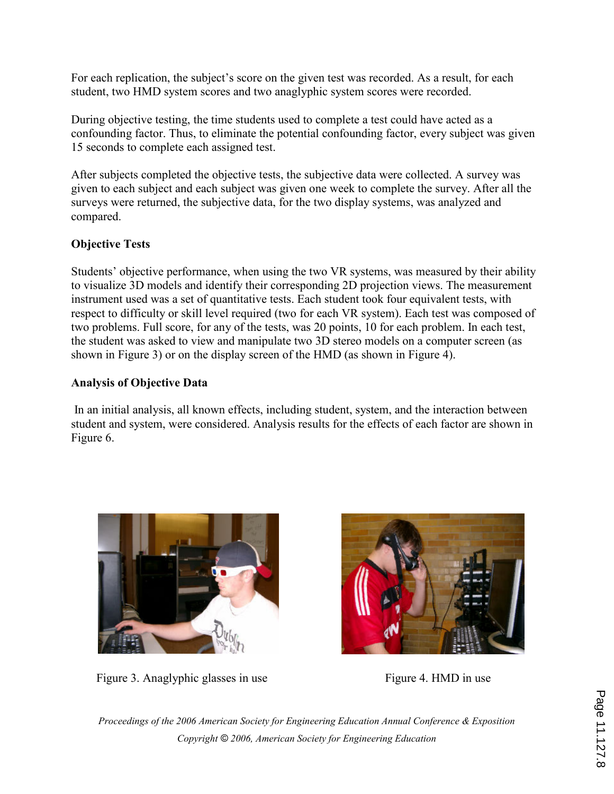For each replication, the subject's score on the given test was recorded. As a result, for each student, two HMD system scores and two anaglyphic system scores were recorded.

During objective testing, the time students used to complete a test could have acted as a confounding factor. Thus, to eliminate the potential confounding factor, every subject was given 15 seconds to complete each assigned test.

After subjects completed the objective tests, the subjective data were collected. A survey was given to each subject and each subject was given one week to complete the survey. After all the surveys were returned, the subjective data, for the two display systems, was analyzed and compared.

## Objective Tests

Students' objective performance, when using the two VR systems, was measured by their ability to visualize 3D models and identify their corresponding 2D projection views. The measurement instrument used was a set of quantitative tests. Each student took four equivalent tests, with respect to difficulty or skill level required (two for each VR system). Each test was composed of two problems. Full score, for any of the tests, was 20 points, 10 for each problem. In each test, the student was asked to view and manipulate two 3D stereo models on a computer screen (as shown in Figure 3) or on the display screen of the HMD (as shown in Figure 4).

## Analysis of Objective Data

 In an initial analysis, all known effects, including student, system, and the interaction between student and system, were considered. Analysis results for the effects of each factor are shown in Figure 6.



Figure 3. Anaglyphic glasses in use Figure 4. HMD in use

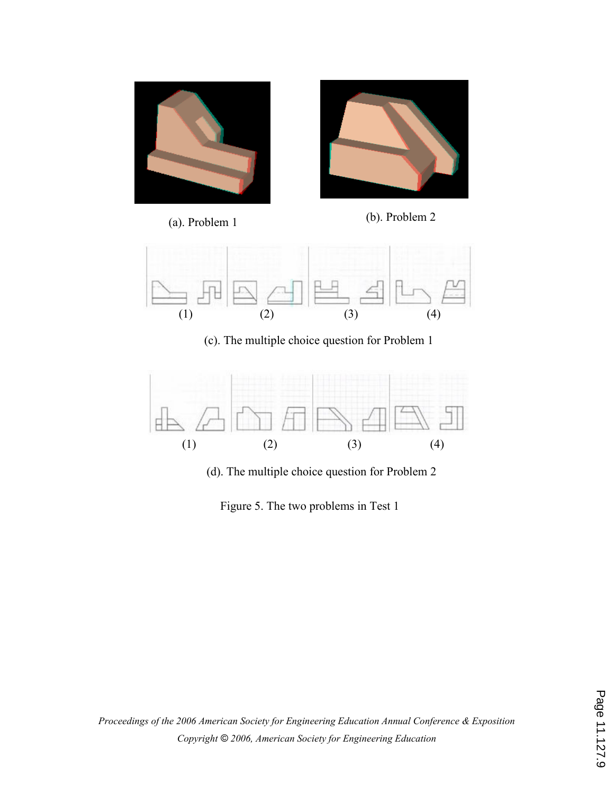



(a). Problem 1 (b). Problem 2



(c). The multiple choice question for Problem 1



(d). The multiple choice question for Problem 2

Figure 5. The two problems in Test 1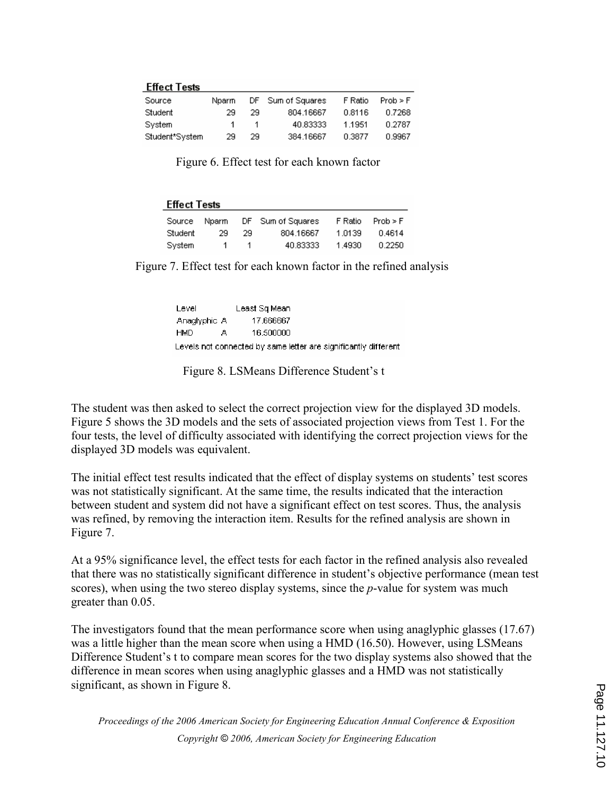| <b>Effect Tests</b> |  |  |
|---------------------|--|--|
|                     |  |  |

| Source         | Nparm |     | DF Sum of Squares | F Ratio | Prob > F |
|----------------|-------|-----|-------------------|---------|----------|
| Student        | 29    | 29. | 804.16667         | 0.8116  | 0.7268   |
| Svstern        | 1     | -1. | 40.83333          | 1.1951  | 0.2787   |
| Student*System | 29    | 29. | 384.16667         | 0.3877  | 0.9967   |

Figure 6. Effect test for each known factor

| <b>Effect Tests</b> |       |     |                   |         |          |  |  |  |
|---------------------|-------|-----|-------------------|---------|----------|--|--|--|
| Source              | Nparm |     | DF Sum of Squares | F Ratio | Prob > F |  |  |  |
| Student             | 29    | 29. | 804.16667         | 1.0139  | 0.4614   |  |  |  |
| System              |       |     | 40.83333          | 1.4930  | 0.2250   |  |  |  |

Figure 7. Effect test for each known factor in the refined analysis

| Level        |   | Least Sq Mean                                                    |  |
|--------------|---|------------------------------------------------------------------|--|
| Anaglyphic A |   | 17.666667                                                        |  |
| <b>HMD</b>   | д | 16.500000                                                        |  |
|              |   | Levels not connected by same letter are significantly different. |  |

Figure 8. LSMeans Difference Student's t

The student was then asked to select the correct projection view for the displayed 3D models. Figure 5 shows the 3D models and the sets of associated projection views from Test 1. For the four tests, the level of difficulty associated with identifying the correct projection views for the displayed 3D models was equivalent.

The initial effect test results indicated that the effect of display systems on students' test scores was not statistically significant. At the same time, the results indicated that the interaction between student and system did not have a significant effect on test scores. Thus, the analysis was refined, by removing the interaction item. Results for the refined analysis are shown in Figure 7.

At a 95% significance level, the effect tests for each factor in the refined analysis also revealed that there was no statistically significant difference in student's objective performance (mean test scores), when using the two stereo display systems, since the *p*-value for system was much greater than 0.05.

The investigators found that the mean performance score when using anaglyphic glasses (17.67) was a little higher than the mean score when using a HMD (16.50). However, using LSMeans Difference Student's t to compare mean scores for the two display systems also showed that the difference in mean scores when using anaglyphic glasses and a HMD was not statistically significant, as shown in Figure 8.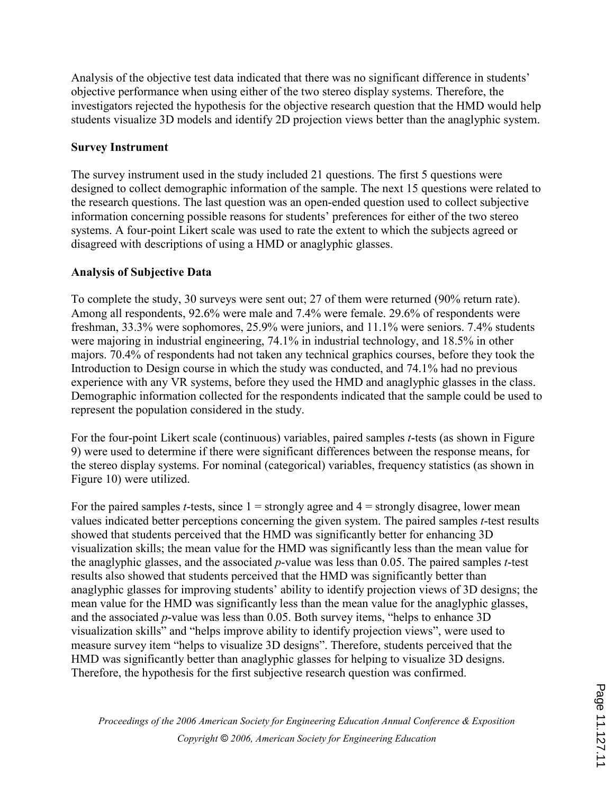Analysis of the objective test data indicated that there was no significant difference in students' objective performance when using either of the two stereo display systems. Therefore, the investigators rejected the hypothesis for the objective research question that the HMD would help students visualize 3D models and identify 2D projection views better than the anaglyphic system.

## Survey Instrument

The survey instrument used in the study included 21 questions. The first 5 questions were designed to collect demographic information of the sample. The next 15 questions were related to the research questions. The last question was an open-ended question used to collect subjective information concerning possible reasons for students' preferences for either of the two stereo systems. A four-point Likert scale was used to rate the extent to which the subjects agreed or disagreed with descriptions of using a HMD or anaglyphic glasses.

## Analysis of Subjective Data

To complete the study, 30 surveys were sent out; 27 of them were returned (90% return rate). Among all respondents, 92.6% were male and 7.4% were female. 29.6% of respondents were freshman, 33.3% were sophomores, 25.9% were juniors, and 11.1% were seniors. 7.4% students were majoring in industrial engineering, 74.1% in industrial technology, and 18.5% in other majors. 70.4% of respondents had not taken any technical graphics courses, before they took the Introduction to Design course in which the study was conducted, and 74.1% had no previous experience with any VR systems, before they used the HMD and anaglyphic glasses in the class. Demographic information collected for the respondents indicated that the sample could be used to represent the population considered in the study.

For the four-point Likert scale (continuous) variables, paired samples t-tests (as shown in Figure 9) were used to determine if there were significant differences between the response means, for the stereo display systems. For nominal (categorical) variables, frequency statistics (as shown in Figure 10) were utilized.

For the paired samples *t*-tests, since  $1 =$  strongly agree and  $4 =$  strongly disagree, lower mean values indicated better perceptions concerning the given system. The paired samples t-test results showed that students perceived that the HMD was significantly better for enhancing 3D visualization skills; the mean value for the HMD was significantly less than the mean value for the anaglyphic glasses, and the associated  $p$ -value was less than 0.05. The paired samples  $t$ -test results also showed that students perceived that the HMD was significantly better than anaglyphic glasses for improving students' ability to identify projection views of 3D designs; the mean value for the HMD was significantly less than the mean value for the anaglyphic glasses, and the associated  $p$ -value was less than 0.05. Both survey items, "helps to enhance 3D visualization skills" and "helps improve ability to identify projection views", were used to measure survey item "helps to visualize 3D designs". Therefore, students perceived that the HMD was significantly better than anaglyphic glasses for helping to visualize 3D designs. Therefore, the hypothesis for the first subjective research question was confirmed.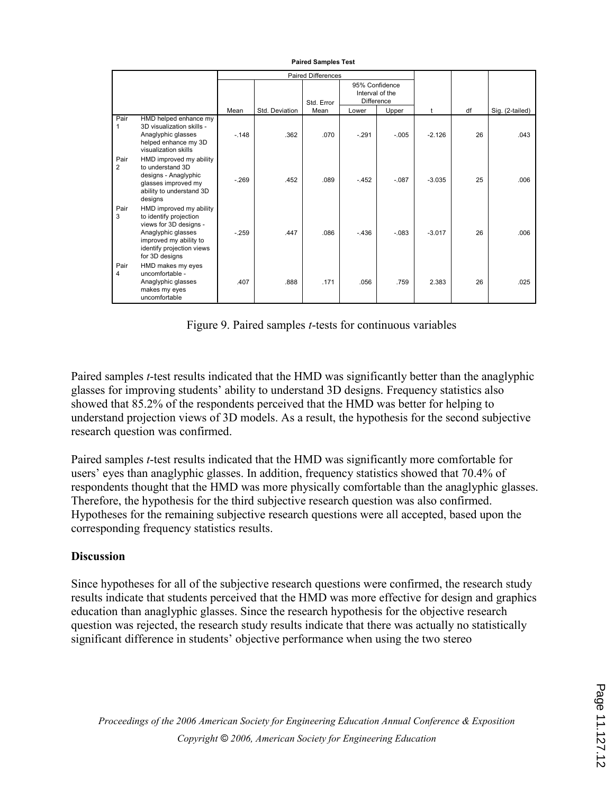|           |                                                                                                                                                                            | <b>Paired Differences</b> |                |            |                                                 |         |          |    |                 |
|-----------|----------------------------------------------------------------------------------------------------------------------------------------------------------------------------|---------------------------|----------------|------------|-------------------------------------------------|---------|----------|----|-----------------|
|           |                                                                                                                                                                            |                           |                | Std. Error | 95% Confidence<br>Interval of the<br>Difference |         |          |    |                 |
|           |                                                                                                                                                                            | Mean                      | Std. Deviation | Mean       | Lower                                           | Upper   | t        | df | Sig. (2-tailed) |
| Pair      | HMD helped enhance my<br>3D visualization skills -<br>Anaglyphic glasses<br>helped enhance my 3D<br>visualization skills                                                   | $-148$                    | .362           | .070       | $-.291$                                         | $-.005$ | $-2.126$ | 26 | .043            |
| Pair<br>2 | HMD improved my ability<br>to understand 3D<br>designs - Anaglyphic<br>glasses improved my<br>ability to understand 3D<br>designs                                          | $-269$                    | .452           | .089       | $-452$                                          | $-.087$ | $-3.035$ | 25 | .006            |
| Pair<br>3 | HMD improved my ability<br>to identify projection<br>views for 3D designs -<br>Anaglyphic glasses<br>improved my ability to<br>identify projection views<br>for 3D designs | $-259$                    | .447           | .086       | $-.436$                                         | $-.083$ | $-3.017$ | 26 | .006            |
| Pair<br>4 | HMD makes my eyes<br>uncomfortable -<br>Anaglyphic glasses<br>makes my eyes<br>uncomfortable                                                                               | .407                      | .888           | .171       | .056                                            | .759    | 2.383    | 26 | .025            |

#### Paired Samples Test

Figure 9. Paired samples t-tests for continuous variables

Paired samples t-test results indicated that the HMD was significantly better than the anaglyphic glasses for improving students' ability to understand 3D designs. Frequency statistics also showed that 85.2% of the respondents perceived that the HMD was better for helping to understand projection views of 3D models. As a result, the hypothesis for the second subjective research question was confirmed.

Paired samples t-test results indicated that the HMD was significantly more comfortable for users' eyes than anaglyphic glasses. In addition, frequency statistics showed that 70.4% of respondents thought that the HMD was more physically comfortable than the anaglyphic glasses. Therefore, the hypothesis for the third subjective research question was also confirmed. Hypotheses for the remaining subjective research questions were all accepted, based upon the corresponding frequency statistics results.

### **Discussion**

Since hypotheses for all of the subjective research questions were confirmed, the research study results indicate that students perceived that the HMD was more effective for design and graphics education than anaglyphic glasses. Since the research hypothesis for the objective research question was rejected, the research study results indicate that there was actually no statistically significant difference in students' objective performance when using the two stereo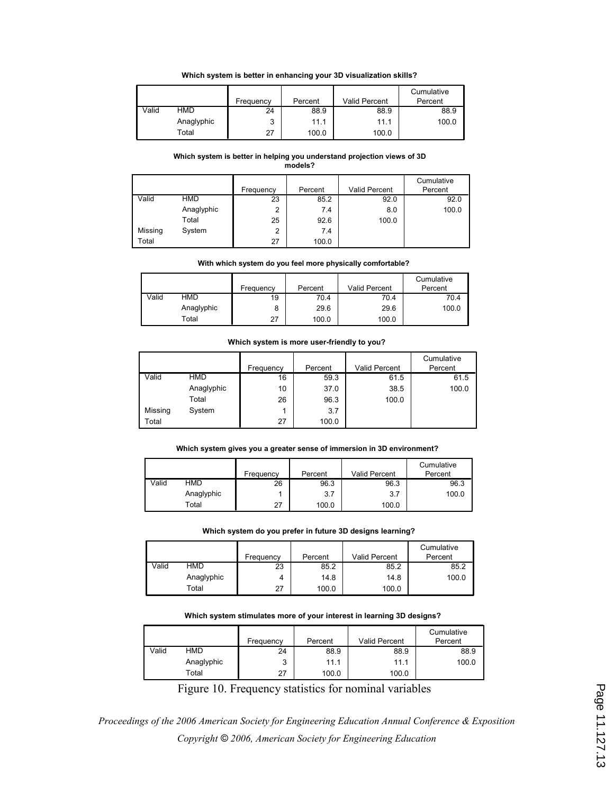#### Which system is better in enhancing your 3D visualization skills?

|       |            |           |         |                      | Cumulative |
|-------|------------|-----------|---------|----------------------|------------|
|       |            | Frequency | Percent | <b>Valid Percent</b> | Percent    |
| Valid | HMD        | 24        | 88.9    | 88.9                 | 88.9       |
|       | Anaglyphic | 2         | 11.1    | 11.1                 | 100.0      |
|       | Total      | 27        | 100.0   | 100.0                |            |

#### Which system is better in helping you understand projection views of 3D models?

|         |            | Frequency | Percent | Valid Percent | Cumulative<br>Percent |
|---------|------------|-----------|---------|---------------|-----------------------|
|         |            |           |         |               |                       |
| Valid   | <b>HMD</b> | 23        | 85.2    | 92.0          | 92.0                  |
|         | Anaglyphic | 2         | 7.4     | 8.0           | 100.0                 |
|         | Total      | 25        | 92.6    | 100.0         |                       |
| Missing | System     | 2         | 7.4     |               |                       |
| Total   |            | 27        | 100.0   |               |                       |

#### With which system do you feel more physically comfortable?

|       |            | Frequency | Percent | Valid Percent | Cumulative<br>Percent |
|-------|------------|-----------|---------|---------------|-----------------------|
| Valid | HMD        | 19        | 70.4    | 70.4          | 70.4                  |
|       | Anaglyphic | 8         | 29.6    | 29.6          | 100.0                 |
|       | Total      | 27        | 100.0   | 100.0         |                       |

#### Which system is more user-friendly to you?

|         |            |           |         |               | Cumulative |
|---------|------------|-----------|---------|---------------|------------|
|         |            | Frequency | Percent | Valid Percent | Percent    |
| Valid   | <b>HMD</b> | 16        | 59.3    | 61.5          | 61.5       |
|         | Anaglyphic | 10        | 37.0    | 38.5          | 100.0      |
|         | Total      | 26        | 96.3    | 100.0         |            |
| Missing | System     |           | 3.7     |               |            |
| Total   |            | 27        | 100.0   |               |            |

#### Which system gives you a greater sense of immersion in 3D environment?

|       |            |           |         |                      | Cumulative |
|-------|------------|-----------|---------|----------------------|------------|
|       |            | Frequency | Percent | <b>Valid Percent</b> | Percent    |
| Valid | HMD        | 26        | 96.3    | 96.3                 | 96.3       |
|       | Anaglyphic |           | 3.7     | 3.7                  | 100.0      |
|       | Total      | 27        | 100.0   | 100.0                |            |

#### Which system do you prefer in future 3D designs learning?

|       |            | Frequency | Percent | <b>Valid Percent</b> | Cumulative<br>Percent |
|-------|------------|-----------|---------|----------------------|-----------------------|
| Valid | HMD        | 23        | 85.2    | 85.2                 | 85.2                  |
|       | Anaglyphic | 4         | 14.8    | 14.8                 | 100.0                 |
|       | Total      | 27        | 100.0   | 100.0                |                       |

#### Which system stimulates more of your interest in learning 3D designs?

|       |            | Frequency | Percent | <b>Valid Percent</b> | Cumulative<br>Percent |
|-------|------------|-----------|---------|----------------------|-----------------------|
| Valid | HMD        | 24        | 88.9    | 88.9                 | 88.9                  |
|       | Anaglyphic | ີ         | 11.1    | 11.1                 | 100.0                 |
|       | Total      | 27        | 100.0   | 100.0                |                       |

Figure 10. Frequency statistics for nominal variables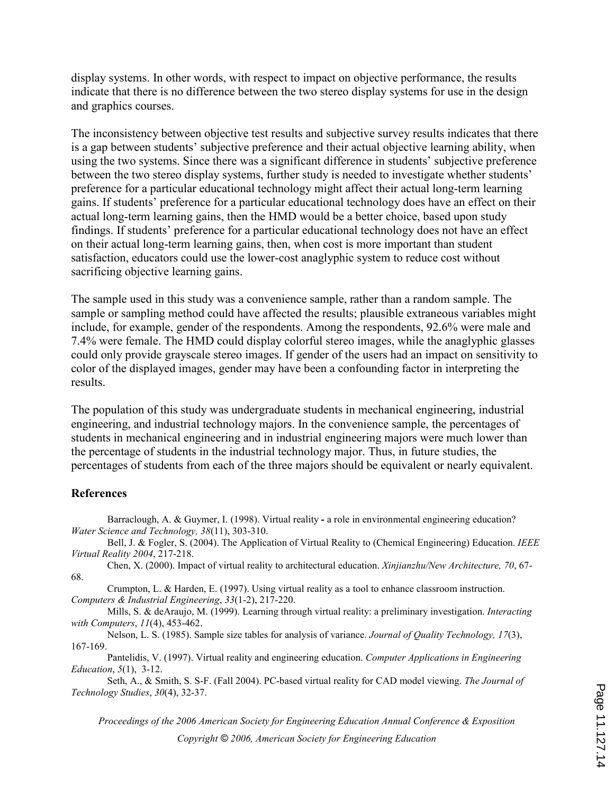display systems. In other words, with respect to impact on objective performance, the results indicate that there is no difference between the two stereo display systems for use in the design and graphics courses.

The inconsistency between objective test results and subjective survey results indicates that there is a gap between students' subjective preference and their actual objective learning ability, when using the two systems. Since there was a significant difference in students' subjective preference between the two stereo display systems, further study is needed to investigate whether students' preference for a particular educational technology might affect their actual long-term learning gains. If students' preference for a particular educational technology does have an effect on their actual long-term learning gains, then the HMD would be a better choice, based upon study findings. If students' preference for a particular educational technology does not have an effect on their actual long-term learning gains, then, when cost is more important than student satisfaction, educators could use the lower-cost anaglyphic system to reduce cost without sacrificing objective learning gains.

The sample used in this study was a convenience sample, rather than a random sample. The sample or sampling method could have affected the results; plausible extraneous variables might include, for example, gender of the respondents. Among the respondents, 92.6% were male and 7.4% were female. The HMD could display colorful stereo images, while the anaglyphic glasses could only provide grayscale stereo images. If gender of the users had an impact on sensitivity to color of the displayed images, gender may have been a confounding factor in interpreting the results.

The population of this study was undergraduate students in mechanical engineering, industrial engineering, and industrial technology majors. In the convenience sample, the percentages of students in mechanical engineering and in industrial engineering majors were much lower than the percentage of students in the industrial technology major. Thus, in future studies, the percentages of students from each of the three majors should be equivalent or nearly equivalent.

### **References**

Barraclough, A. & Guymer, I. (1998). Virtual reality - a role in environmental engineering education? Water Science and Technology, 38(11), 303-310.

Bell, J. & Fogler, S. (2004). The Application of Virtual Reality to (Chemical Engineering) Education. IEEE Virtual Reality 2004, 217-218.

Chen, X. (2000). Impact of virtual reality to architectural education. Xinjianzhu/New Architecture, 70, 67- 68.

Crumpton, L. & Harden, E. (1997). Using virtual reality as a tool to enhance classroom instruction. Computers & Industrial Engineering, 33(1-2), 217-220.

Mills, S. & deAraujo, M. (1999). Learning through virtual reality: a preliminary investigation. Interacting with Computers, 11(4), 453-462.

Nelson, L. S. (1985). Sample size tables for analysis of variance. Journal of Quality Technology, 17(3), 167-169.

Pantelidis, V. (1997). Virtual reality and engineering education. Computer Applications in Engineering Education, 5(1), 3-12.

Seth, A., & Smith, S. S-F. (Fall 2004). PC-based virtual reality for CAD model viewing. The Journal of Technology Studies, 30(4), 32-37.

Proceedings of the 2006 American Society for Engineering Education Annual Conference & Exposition

Copyright © 2006, American Society for Engineering Education